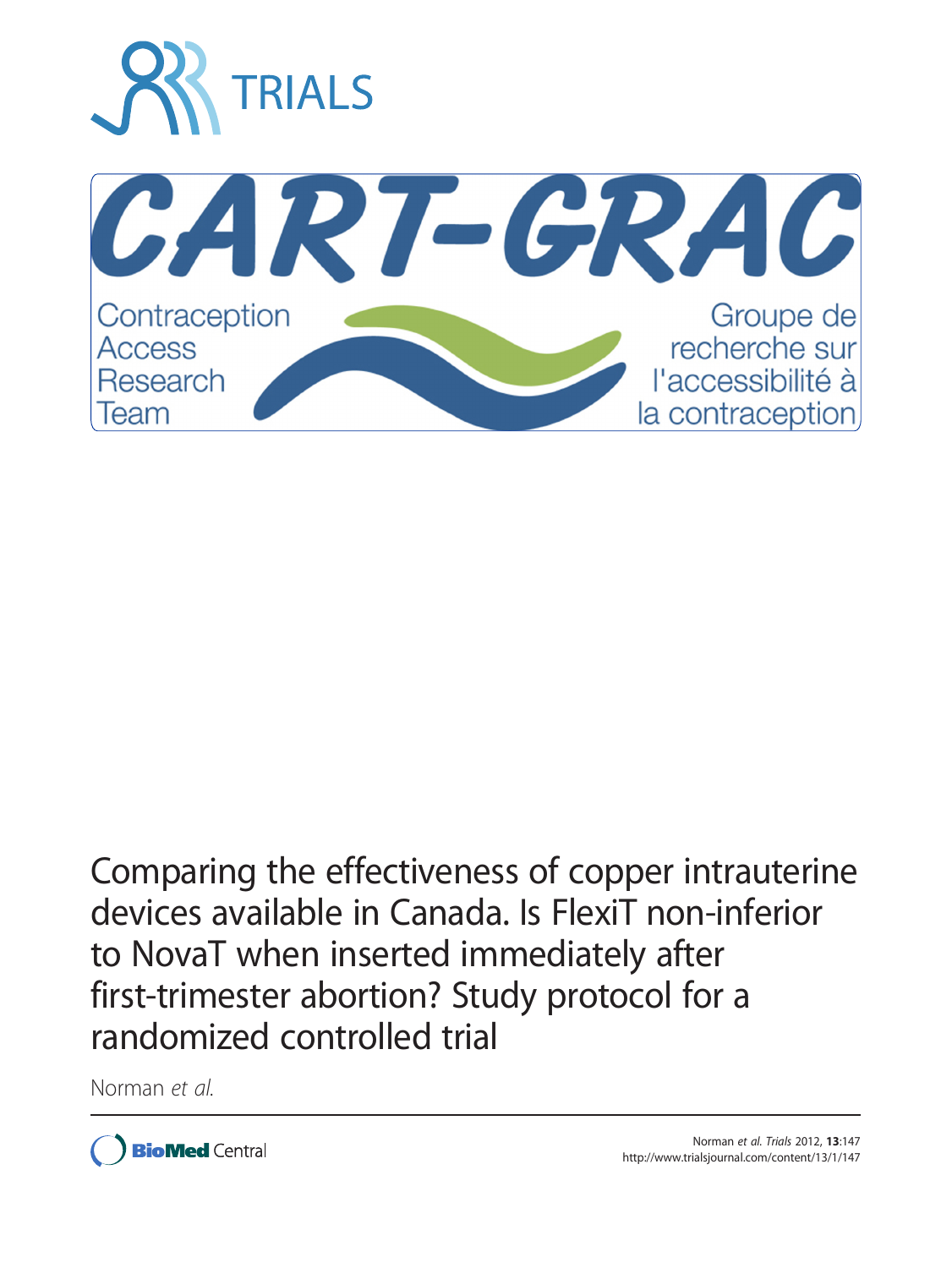

# Comparing the effectiveness of copper intrauterine devices available in Canada. Is FlexiT non-inferior to NovaT when inserted immediately after first-trimester abortion? Study protocol for a randomized controlled trial

Norman et al.

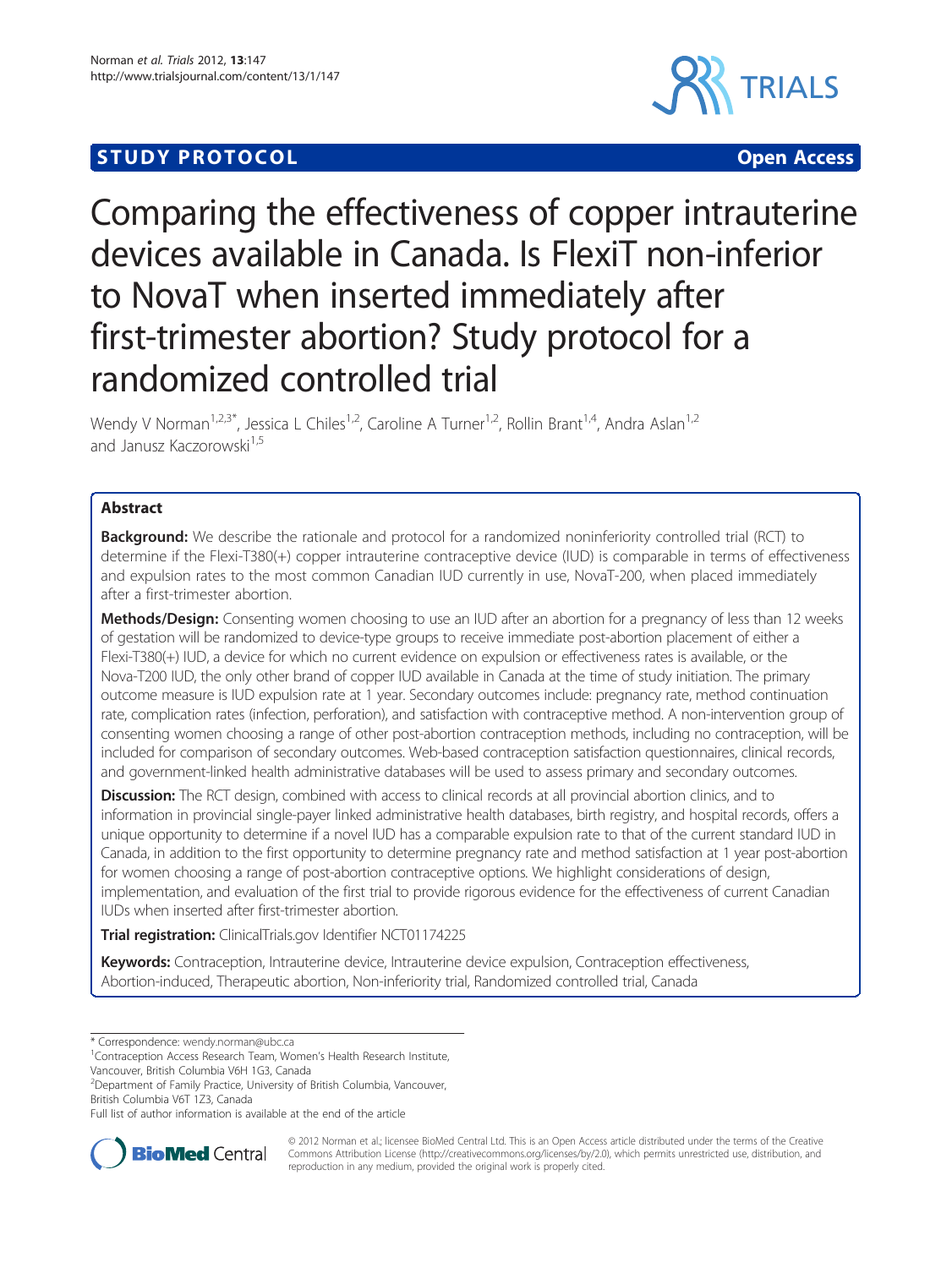## **STUDY PROTOCOL CONSUMING THE RESERVE ACCESS**



# Comparing the effectiveness of copper intrauterine devices available in Canada. Is FlexiT non-inferior to NovaT when inserted immediately after first-trimester abortion? Study protocol for a randomized controlled trial

Wendy V Norman<sup>1,2,3\*</sup>, Jessica L Chiles<sup>1,2</sup>, Caroline A Turner<sup>1,2</sup>, Rollin Brant<sup>1,4</sup>, Andra Aslan<sup>1,2</sup> and Janusz Kaczorowski<sup>1,5</sup>

## Abstract

**Background:** We describe the rationale and protocol for a randomized noninferiority controlled trial (RCT) to determine if the Flexi-T380(+) copper intrauterine contraceptive device (IUD) is comparable in terms of effectiveness and expulsion rates to the most common Canadian IUD currently in use, NovaT-200, when placed immediately after a first-trimester abortion.

Methods/Design: Consenting women choosing to use an IUD after an abortion for a pregnancy of less than 12 weeks of gestation will be randomized to device-type groups to receive immediate post-abortion placement of either a Flexi-T380(+) IUD, a device for which no current evidence on expulsion or effectiveness rates is available, or the Nova-T200 IUD, the only other brand of copper IUD available in Canada at the time of study initiation. The primary outcome measure is IUD expulsion rate at 1 year. Secondary outcomes include: pregnancy rate, method continuation rate, complication rates (infection, perforation), and satisfaction with contraceptive method. A non-intervention group of consenting women choosing a range of other post-abortion contraception methods, including no contraception, will be included for comparison of secondary outcomes. Web-based contraception satisfaction questionnaires, clinical records, and government-linked health administrative databases will be used to assess primary and secondary outcomes.

**Discussion:** The RCT design, combined with access to clinical records at all provincial abortion clinics, and to information in provincial single-payer linked administrative health databases, birth registry, and hospital records, offers a unique opportunity to determine if a novel IUD has a comparable expulsion rate to that of the current standard IUD in Canada, in addition to the first opportunity to determine pregnancy rate and method satisfaction at 1 year post-abortion for women choosing a range of post-abortion contraceptive options. We highlight considerations of design, implementation, and evaluation of the first trial to provide rigorous evidence for the effectiveness of current Canadian IUDs when inserted after first-trimester abortion.

Trial registration: ClinicalTrials.gov Identifier NCT01174225

Keywords: Contraception, Intrauterine device, Intrauterine device expulsion, Contraception effectiveness, Abortion-induced, Therapeutic abortion, Non-inferiority trial, Randomized controlled trial, Canada

\* Correspondence: [wendy.norman@ubc.ca](mailto:wendy.norman@ubc.ca) <sup>1</sup>

<sup>1</sup> Contraception Access Research Team, Women's Health Research Institute,

Vancouver, British Columbia V6H 1G3, Canada

<sup>2</sup>Department of Family Practice, University of British Columbia, Vancouver, British Columbia V6T 1Z3, Canada

Full list of author information is available at the end of the article



© 2012 Norman et al.; licensee BioMed Central Ltd. This is an Open Access article distributed under the terms of the Creative Commons Attribution License [\(http://creativecommons.org/licenses/by/2.0\)](http://creativecommons.org/licenses/by/2.0), which permits unrestricted use, distribution, and reproduction in any medium, provided the original work is properly cited.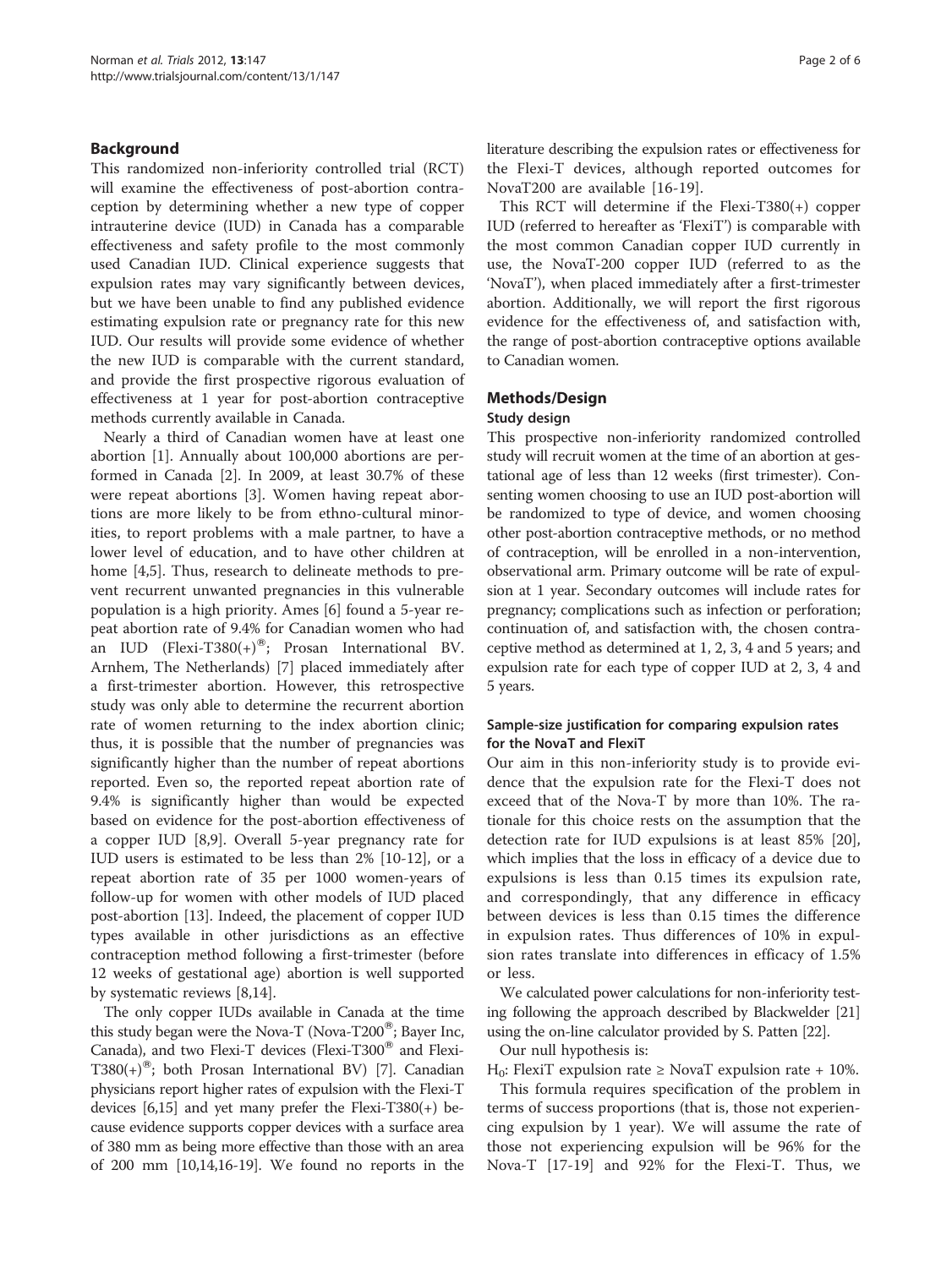## Background

This randomized non-inferiority controlled trial (RCT) will examine the effectiveness of post-abortion contraception by determining whether a new type of copper intrauterine device (IUD) in Canada has a comparable effectiveness and safety profile to the most commonly used Canadian IUD. Clinical experience suggests that expulsion rates may vary significantly between devices, but we have been unable to find any published evidence estimating expulsion rate or pregnancy rate for this new IUD. Our results will provide some evidence of whether the new IUD is comparable with the current standard, and provide the first prospective rigorous evaluation of effectiveness at 1 year for post-abortion contraceptive methods currently available in Canada.

Nearly a third of Canadian women have at least one abortion [\[1](#page-6-0)]. Annually about 100,000 abortions are performed in Canada [[2\]](#page-6-0). In 2009, at least 30.7% of these were repeat abortions [[3\]](#page-6-0). Women having repeat abortions are more likely to be from ethno-cultural minorities, to report problems with a male partner, to have a lower level of education, and to have other children at home [\[4,5](#page-6-0)]. Thus, research to delineate methods to prevent recurrent unwanted pregnancies in this vulnerable population is a high priority. Ames [[6\]](#page-6-0) found a 5-year repeat abortion rate of 9.4% for Canadian women who had an IUD (Flexi-T380(+)<sup>®</sup>; Prosan International BV. Arnhem, The Netherlands) [\[7](#page-6-0)] placed immediately after a first-trimester abortion. However, this retrospective study was only able to determine the recurrent abortion rate of women returning to the index abortion clinic; thus, it is possible that the number of pregnancies was significantly higher than the number of repeat abortions reported. Even so, the reported repeat abortion rate of 9.4% is significantly higher than would be expected based on evidence for the post-abortion effectiveness of a copper IUD [\[8](#page-6-0),[9](#page-6-0)]. Overall 5-year pregnancy rate for IUD users is estimated to be less than 2% [\[10-12](#page-6-0)], or a repeat abortion rate of 35 per 1000 women-years of follow-up for women with other models of IUD placed post-abortion [\[13\]](#page-6-0). Indeed, the placement of copper IUD types available in other jurisdictions as an effective contraception method following a first-trimester (before 12 weeks of gestational age) abortion is well supported by systematic reviews [[8,14\]](#page-6-0).

The only copper IUDs available in Canada at the time this study began were the Nova-T (Nova-T200 $^{\circ\circ}$ ; Bayer Inc, Canada), and two Flexi-T devices (Flexi-T300 $^{\circledR}$  and Flexi-T380(+)<sup>®</sup>; both Prosan International BV) [\[7\]](#page-6-0). Canadian physicians report higher rates of expulsion with the Flexi-T devices  $[6,15]$  $[6,15]$  and yet many prefer the Flexi-T380(+) because evidence supports copper devices with a surface area of 380 mm as being more effective than those with an area of 200 mm [\[10,14,16-19\]](#page-6-0). We found no reports in the literature describing the expulsion rates or effectiveness for the Flexi-T devices, although reported outcomes for NovaT200 are available [[16](#page-6-0)-[19\]](#page-6-0).

This RCT will determine if the Flexi-T380(+) copper IUD (referred to hereafter as 'FlexiT') is comparable with the most common Canadian copper IUD currently in use, the NovaT-200 copper IUD (referred to as the 'NovaT'), when placed immediately after a first-trimester abortion. Additionally, we will report the first rigorous evidence for the effectiveness of, and satisfaction with, the range of post-abortion contraceptive options available to Canadian women.

## Methods/Design

## Study design

This prospective non-inferiority randomized controlled study will recruit women at the time of an abortion at gestational age of less than 12 weeks (first trimester). Consenting women choosing to use an IUD post-abortion will be randomized to type of device, and women choosing other post-abortion contraceptive methods, or no method of contraception, will be enrolled in a non-intervention, observational arm. Primary outcome will be rate of expulsion at 1 year. Secondary outcomes will include rates for pregnancy; complications such as infection or perforation; continuation of, and satisfaction with, the chosen contraceptive method as determined at 1, 2, 3, 4 and 5 years; and expulsion rate for each type of copper IUD at 2, 3, 4 and 5 years.

## Sample-size justification for comparing expulsion rates for the NovaT and FlexiT

Our aim in this non-inferiority study is to provide evidence that the expulsion rate for the Flexi-T does not exceed that of the Nova-T by more than 10%. The rationale for this choice rests on the assumption that the detection rate for IUD expulsions is at least 85% [\[20](#page-6-0)], which implies that the loss in efficacy of a device due to expulsions is less than 0.15 times its expulsion rate, and correspondingly, that any difference in efficacy between devices is less than 0.15 times the difference in expulsion rates. Thus differences of 10% in expulsion rates translate into differences in efficacy of 1.5% or less.

We calculated power calculations for non-inferiority testing following the approach described by Blackwelder [\[21](#page-6-0)] using the on-line calculator provided by S. Patten [\[22](#page-6-0)].

Our null hypothesis is:

H<sub>0</sub>: FlexiT expulsion rate  $\geq$  NovaT expulsion rate + 10%.

This formula requires specification of the problem in terms of success proportions (that is, those not experiencing expulsion by 1 year). We will assume the rate of those not experiencing expulsion will be 96% for the Nova-T [\[17](#page-6-0)-[19\]](#page-6-0) and 92% for the Flexi-T. Thus, we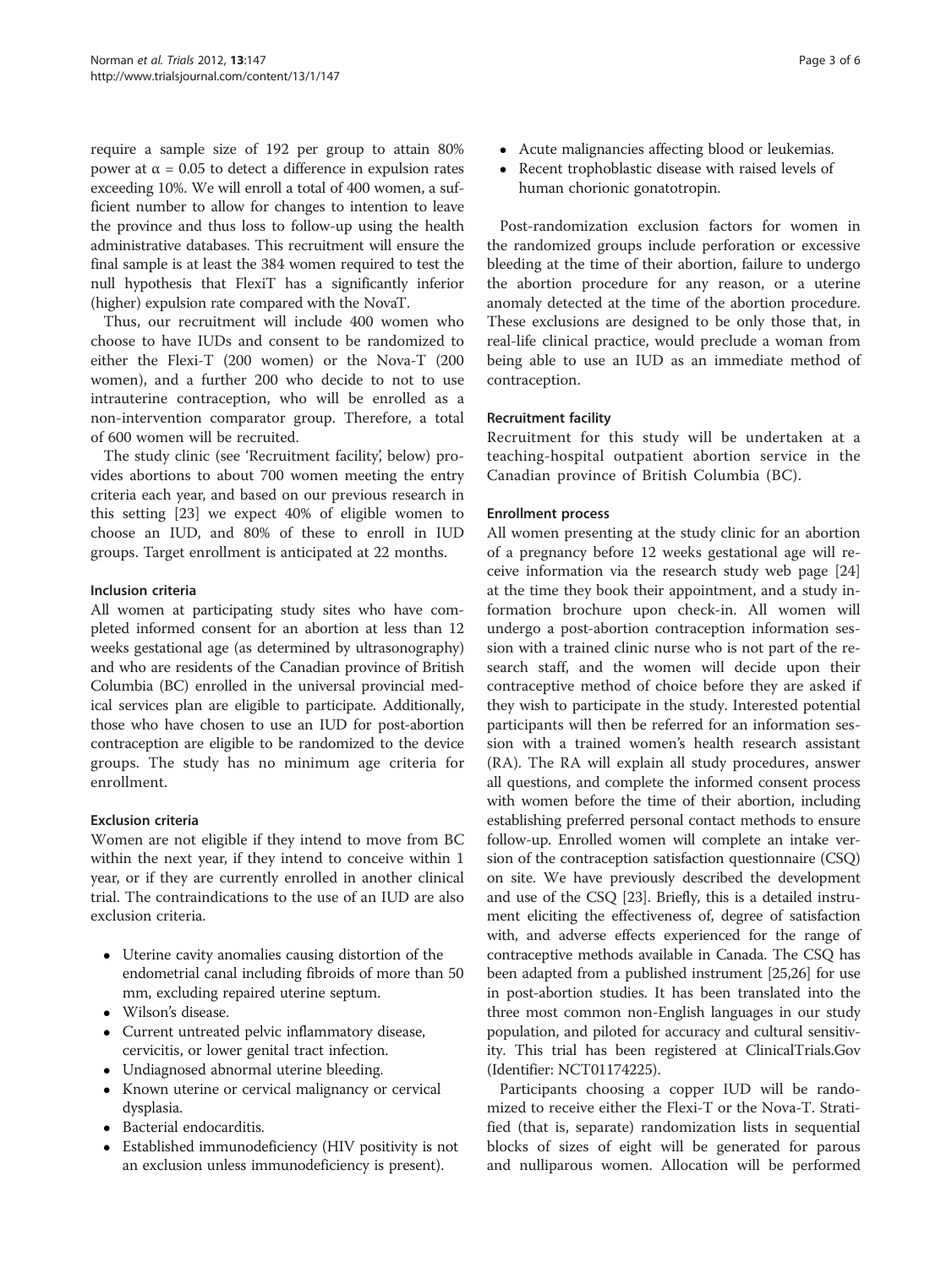require a sample size of 192 per group to attain 80% power at  $α = 0.05$  to detect a difference in expulsion rates exceeding 10%. We will enroll a total of 400 women, a sufficient number to allow for changes to intention to leave the province and thus loss to follow-up using the health administrative databases. This recruitment will ensure the final sample is at least the 384 women required to test the null hypothesis that FlexiT has a significantly inferior (higher) expulsion rate compared with the NovaT.

Thus, our recruitment will include 400 women who choose to have IUDs and consent to be randomized to either the Flexi-T (200 women) or the Nova-T (200 women), and a further 200 who decide to not to use intrauterine contraception, who will be enrolled as a non-intervention comparator group. Therefore, a total of 600 women will be recruited.

The study clinic (see 'Recruitment facility', below) provides abortions to about 700 women meeting the entry criteria each year, and based on our previous research in this setting [\[23\]](#page-6-0) we expect 40% of eligible women to choose an IUD, and 80% of these to enroll in IUD groups. Target enrollment is anticipated at 22 months.

## Inclusion criteria

All women at participating study sites who have completed informed consent for an abortion at less than 12 weeks gestational age (as determined by ultrasonography) and who are residents of the Canadian province of British Columbia (BC) enrolled in the universal provincial medical services plan are eligible to participate. Additionally, those who have chosen to use an IUD for post-abortion contraception are eligible to be randomized to the device groups. The study has no minimum age criteria for enrollment.

## Exclusion criteria

Women are not eligible if they intend to move from BC within the next year, if they intend to conceive within 1 year, or if they are currently enrolled in another clinical trial. The contraindications to the use of an IUD are also exclusion criteria.

- Uterine cavity anomalies causing distortion of the endometrial canal including fibroids of more than 50 mm, excluding repaired uterine septum.
- Wilson's disease.
- Current untreated pelvic inflammatory disease, cervicitis, or lower genital tract infection.
- Undiagnosed abnormal uterine bleeding.
- Known uterine or cervical malignancy or cervical dysplasia.
- Bacterial endocarditis.
- Established immunodeficiency (HIV positivity is not an exclusion unless immunodeficiency is present).
- Acute malignancies affecting blood or leukemias.<br>• Recent trophoblastic disease with raised levels of
- Recent trophoblastic disease with raised levels of human chorionic gonatotropin.

Post-randomization exclusion factors for women in the randomized groups include perforation or excessive bleeding at the time of their abortion, failure to undergo the abortion procedure for any reason, or a uterine anomaly detected at the time of the abortion procedure. These exclusions are designed to be only those that, in real-life clinical practice, would preclude a woman from being able to use an IUD as an immediate method of contraception.

## Recruitment facility

Recruitment for this study will be undertaken at a teaching-hospital outpatient abortion service in the Canadian province of British Columbia (BC).

## Enrollment process

All women presenting at the study clinic for an abortion of a pregnancy before 12 weeks gestational age will receive information via the research study web page [[24](#page-6-0)] at the time they book their appointment, and a study information brochure upon check-in. All women will undergo a post-abortion contraception information session with a trained clinic nurse who is not part of the research staff, and the women will decide upon their contraceptive method of choice before they are asked if they wish to participate in the study. Interested potential participants will then be referred for an information session with a trained women's health research assistant (RA). The RA will explain all study procedures, answer all questions, and complete the informed consent process with women before the time of their abortion, including establishing preferred personal contact methods to ensure follow-up. Enrolled women will complete an intake version of the contraception satisfaction questionnaire (CSQ) on site. We have previously described the development and use of the CSQ [\[23](#page-6-0)]. Briefly, this is a detailed instrument eliciting the effectiveness of, degree of satisfaction with, and adverse effects experienced for the range of contraceptive methods available in Canada. The CSQ has been adapted from a published instrument [\[25,26\]](#page-6-0) for use in post-abortion studies. It has been translated into the three most common non-English languages in our study population, and piloted for accuracy and cultural sensitivity. This trial has been registered at ClinicalTrials.Gov (Identifier: NCT01174225).

Participants choosing a copper IUD will be randomized to receive either the Flexi-T or the Nova-T. Stratified (that is, separate) randomization lists in sequential blocks of sizes of eight will be generated for parous and nulliparous women. Allocation will be performed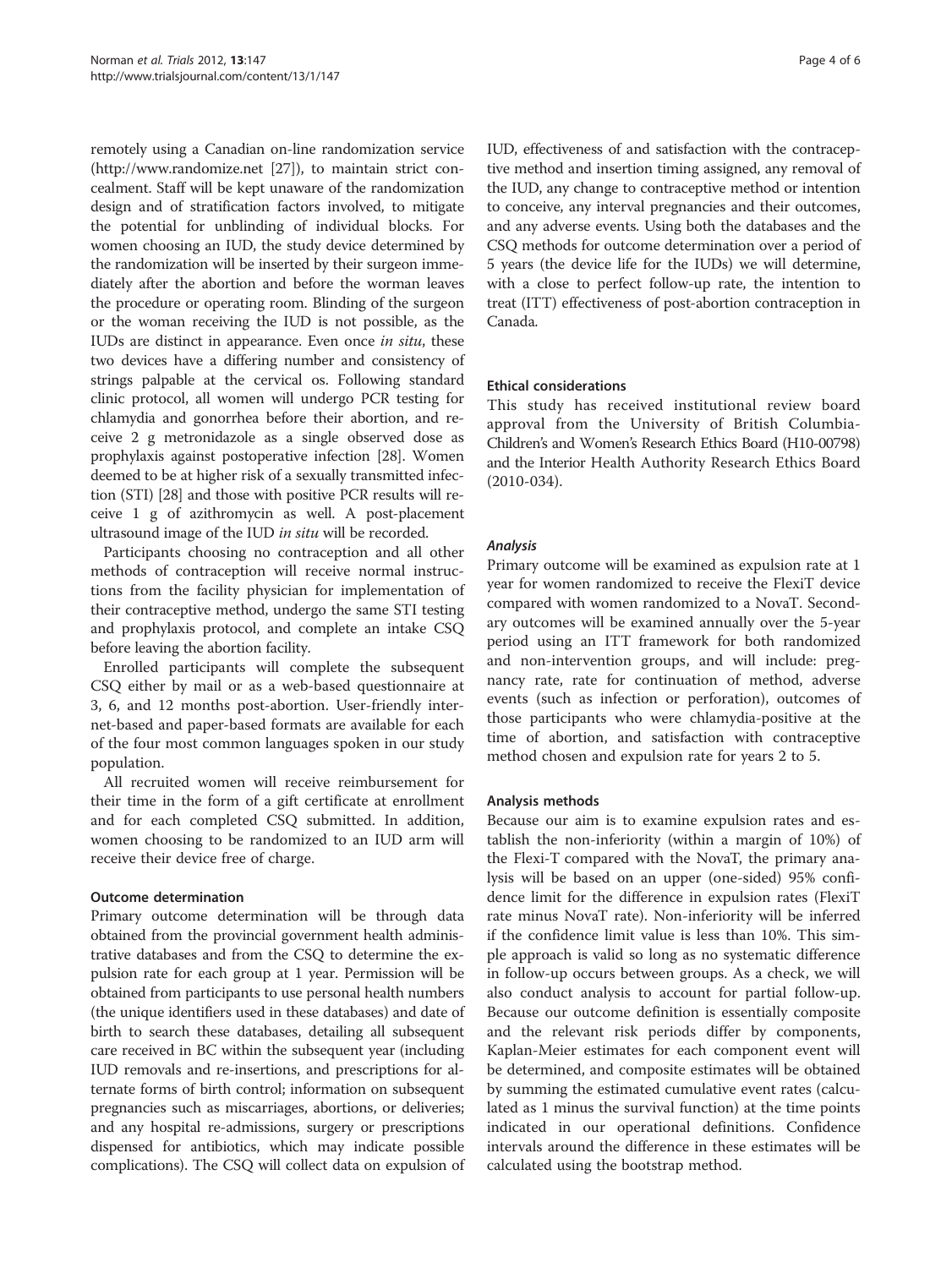remotely using a Canadian on-line randomization service (http://www.randomize.net [\[27\]](#page-6-0)), to maintain strict concealment. Staff will be kept unaware of the randomization design and of stratification factors involved, to mitigate the potential for unblinding of individual blocks. For women choosing an IUD, the study device determined by the randomization will be inserted by their surgeon immediately after the abortion and before the worman leaves the procedure or operating room. Blinding of the surgeon or the woman receiving the IUD is not possible, as the IUDs are distinct in appearance. Even once in situ, these two devices have a differing number and consistency of strings palpable at the cervical os. Following standard clinic protocol, all women will undergo PCR testing for chlamydia and gonorrhea before their abortion, and receive 2 g metronidazole as a single observed dose as prophylaxis against postoperative infection [\[28\]](#page-6-0). Women deemed to be at higher risk of a sexually transmitted infection (STI) [[28](#page-6-0)] and those with positive PCR results will receive 1 g of azithromycin as well. A post-placement ultrasound image of the IUD in situ will be recorded.

Participants choosing no contraception and all other methods of contraception will receive normal instructions from the facility physician for implementation of their contraceptive method, undergo the same STI testing and prophylaxis protocol, and complete an intake CSQ before leaving the abortion facility.

Enrolled participants will complete the subsequent CSQ either by mail or as a web-based questionnaire at 3, 6, and 12 months post-abortion. User-friendly internet-based and paper-based formats are available for each of the four most common languages spoken in our study population.

All recruited women will receive reimbursement for their time in the form of a gift certificate at enrollment and for each completed CSQ submitted. In addition, women choosing to be randomized to an IUD arm will receive their device free of charge.

## Outcome determination

Primary outcome determination will be through data obtained from the provincial government health administrative databases and from the CSQ to determine the expulsion rate for each group at 1 year. Permission will be obtained from participants to use personal health numbers (the unique identifiers used in these databases) and date of birth to search these databases, detailing all subsequent care received in BC within the subsequent year (including IUD removals and re-insertions, and prescriptions for alternate forms of birth control; information on subsequent pregnancies such as miscarriages, abortions, or deliveries; and any hospital re-admissions, surgery or prescriptions dispensed for antibiotics, which may indicate possible complications). The CSQ will collect data on expulsion of IUD, effectiveness of and satisfaction with the contraceptive method and insertion timing assigned, any removal of the IUD, any change to contraceptive method or intention to conceive, any interval pregnancies and their outcomes, and any adverse events. Using both the databases and the CSQ methods for outcome determination over a period of 5 years (the device life for the IUDs) we will determine, with a close to perfect follow-up rate, the intention to treat (ITT) effectiveness of post-abortion contraception in Canada.

## Ethical considerations

This study has received institutional review board approval from the University of British Columbia-Children's and Women's Research Ethics Board (H10-00798) and the Interior Health Authority Research Ethics Board (2010-034).

Analysis Primary outcome will be examined as expulsion rate at 1 year for women randomized to receive the FlexiT device compared with women randomized to a NovaT. Secondary outcomes will be examined annually over the 5-year period using an ITT framework for both randomized and non-intervention groups, and will include: pregnancy rate, rate for continuation of method, adverse events (such as infection or perforation), outcomes of those participants who were chlamydia-positive at the time of abortion, and satisfaction with contraceptive method chosen and expulsion rate for years 2 to 5.

## Analysis methods

Because our aim is to examine expulsion rates and establish the non-inferiority (within a margin of 10%) of the Flexi-T compared with the NovaT, the primary analysis will be based on an upper (one-sided) 95% confidence limit for the difference in expulsion rates (FlexiT rate minus NovaT rate). Non-inferiority will be inferred if the confidence limit value is less than 10%. This simple approach is valid so long as no systematic difference in follow-up occurs between groups. As a check, we will also conduct analysis to account for partial follow-up. Because our outcome definition is essentially composite and the relevant risk periods differ by components, Kaplan-Meier estimates for each component event will be determined, and composite estimates will be obtained by summing the estimated cumulative event rates (calculated as 1 minus the survival function) at the time points indicated in our operational definitions. Confidence intervals around the difference in these estimates will be calculated using the bootstrap method.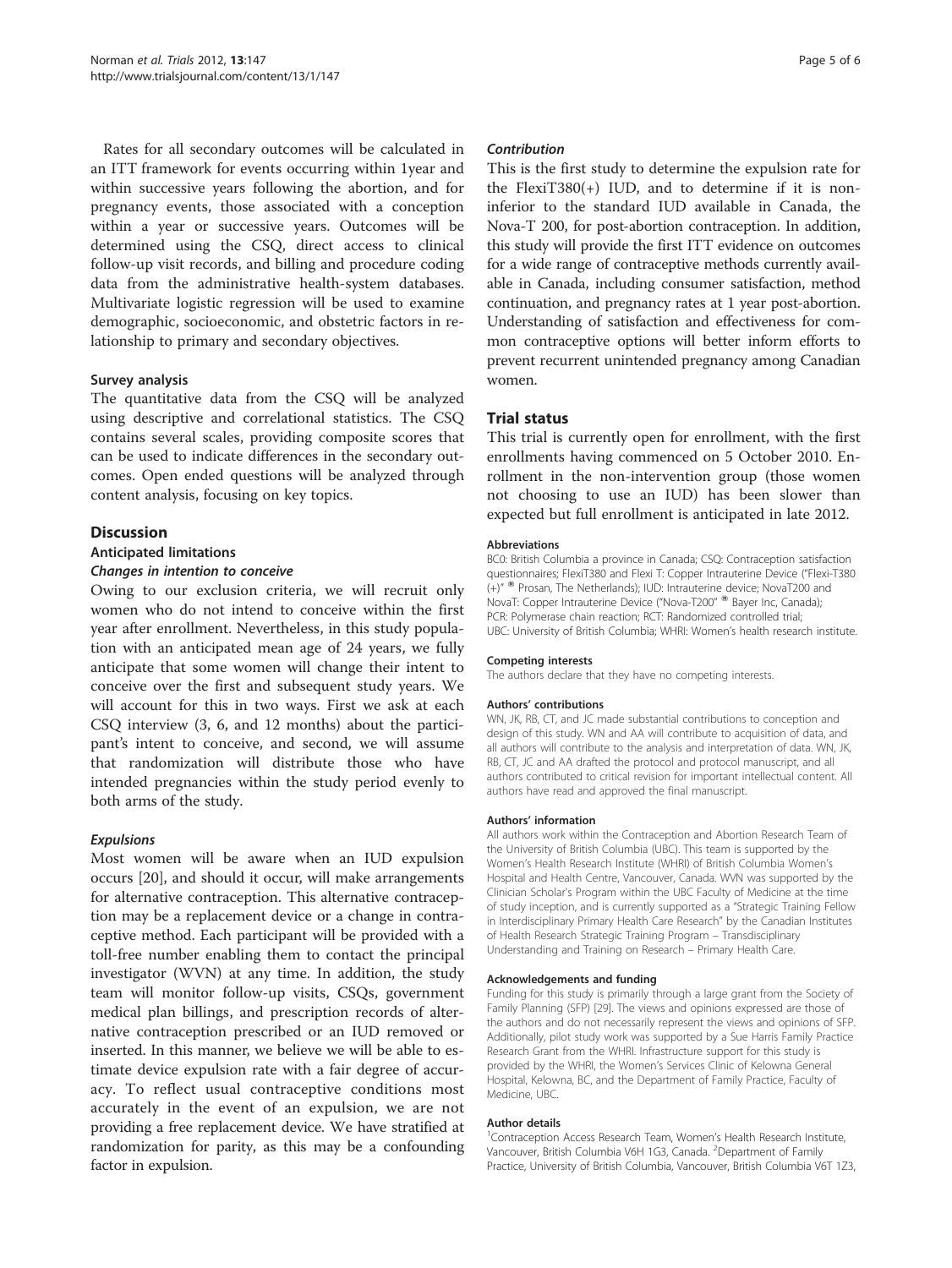Rates for all secondary outcomes will be calculated in an ITT framework for events occurring within 1year and within successive years following the abortion, and for pregnancy events, those associated with a conception within a year or successive years. Outcomes will be determined using the CSQ, direct access to clinical follow-up visit records, and billing and procedure coding data from the administrative health-system databases. Multivariate logistic regression will be used to examine demographic, socioeconomic, and obstetric factors in relationship to primary and secondary objectives.

## Survey analysis

The quantitative data from the CSQ will be analyzed using descriptive and correlational statistics. The CSQ contains several scales, providing composite scores that can be used to indicate differences in the secondary outcomes. Open ended questions will be analyzed through content analysis, focusing on key topics.

## **Discussion**

## Anticipated limitations

Owing to our exclusion criteria, we will recruit only women who do not intend to conceive within the first year after enrollment. Nevertheless, in this study population with an anticipated mean age of 24 years, we fully anticipate that some women will change their intent to conceive over the first and subsequent study years. We will account for this in two ways. First we ask at each CSQ interview (3, 6, and 12 months) about the participant's intent to conceive, and second, we will assume that randomization will distribute those who have intended pregnancies within the study period evenly to both arms of the study.

Most women will be aware when an IUD expulsion occurs [[20](#page-6-0)], and should it occur, will make arrangements for alternative contraception. This alternative contraception may be a replacement device or a change in contraceptive method. Each participant will be provided with a toll-free number enabling them to contact the principal investigator (WVN) at any time. In addition, the study team will monitor follow-up visits, CSQs, government medical plan billings, and prescription records of alternative contraception prescribed or an IUD removed or inserted. In this manner, we believe we will be able to estimate device expulsion rate with a fair degree of accuracy. To reflect usual contraceptive conditions most accurately in the event of an expulsion, we are not providing a free replacement device. We have stratified at randomization for parity, as this may be a confounding factor in expulsion.

## Contribution

This is the first study to determine the expulsion rate for the FlexiT380(+) IUD, and to determine if it is noninferior to the standard IUD available in Canada, the Nova-T 200, for post-abortion contraception. In addition, this study will provide the first ITT evidence on outcomes for a wide range of contraceptive methods currently available in Canada, including consumer satisfaction, method continuation, and pregnancy rates at 1 year post-abortion. Understanding of satisfaction and effectiveness for common contraceptive options will better inform efforts to prevent recurrent unintended pregnancy among Canadian women.

## Trial status

This trial is currently open for enrollment, with the first enrollments having commenced on 5 October 2010. Enrollment in the non-intervention group (those women not choosing to use an IUD) has been slower than expected but full enrollment is anticipated in late 2012.

## Abbreviations

BC0: British Columbia a province in Canada; CSQ: Contraception satisfaction questionnaires; FlexiT380 and Flexi T: Copper Intrauterine Device ("Flexi-T380 (+)" <sup>W</sup> Prosan, The Netherlands); IUD: Intrauterine device; NovaT200 and NovaT: Copper Intrauterine Device ("Nova-T200" ® Bayer Inc, Canada); PCR: Polymerase chain reaction; RCT: Randomized controlled trial; UBC: University of British Columbia; WHRI: Women's health research institute.

## Competing interests

The authors declare that they have no competing interests.

## Authors' contributions

WN, JK, RB, CT, and JC made substantial contributions to conception and design of this study. WN and AA will contribute to acquisition of data, and all authors will contribute to the analysis and interpretation of data. WN, JK, RB, CT, JC and AA drafted the protocol and protocol manuscript, and all authors contributed to critical revision for important intellectual content. All authors have read and approved the final manuscript.

## Authors' information

All authors work within the Contraception and Abortion Research Team of the University of British Columbia (UBC). This team is supported by the Women's Health Research Institute (WHRI) of British Columbia Women's Hospital and Health Centre, Vancouver, Canada. WVN was supported by the Clinician Scholar's Program within the UBC Faculty of Medicine at the time of study inception, and is currently supported as a "Strategic Training Fellow in Interdisciplinary Primary Health Care Research" by the Canadian Institutes of Health Research Strategic Training Program – Transdisciplinary Understanding and Training on Research – Primary Health Care.

## Acknowledgements and funding

Funding for this study is primarily through a large grant from the Society of Family Planning (SFP) [29]. The views and opinions expressed are those of the authors and do not necessarily represent the views and opinions of SFP. Additionally, pilot study work was supported by a Sue Harris Family Practice Research Grant from the WHRI. Infrastructure support for this study is provided by the WHRI, the Women's Services Clinic of Kelowna General Hospital, Kelowna, BC, and the Department of Family Practice, Faculty of Medicine, UBC.

## Author details

<sup>1</sup>Contraception Access Research Team, Women's Health Research Institute, Vancouver, British Columbia V6H 1G3, Canada. <sup>2</sup>Department of Family Practice, University of British Columbia, Vancouver, British Columbia V6T 1Z3,